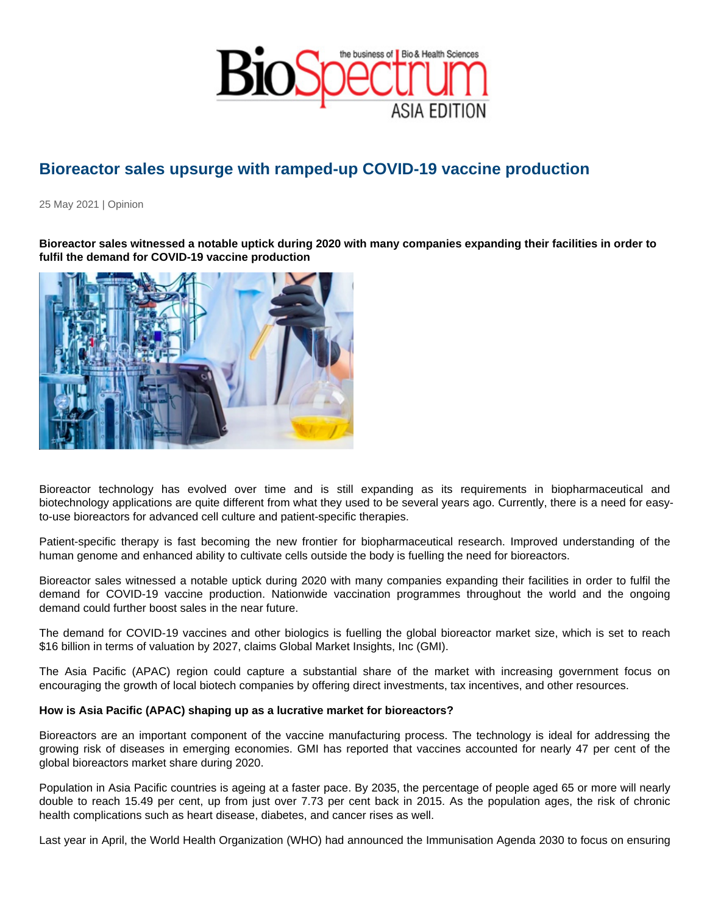## Bioreactor sales upsurge with ramped-up COVID-19 vaccine production

25 May 2021 | Opinion

Bioreactor sales witnessed a notable uptick during 2020 with many companies expanding their facilities in order to fulfil the demand for COVID-19 vaccine production

Bioreactor technology has evolved over time and is still expanding as its requirements in biopharmaceutical and biotechnology applications are quite different from what they used to be several years ago. Currently, there is a need for easyto-use bioreactors for advanced cell culture and patient-specific therapies.

Patient-specific therapy is fast becoming the new frontier for biopharmaceutical research. Improved understanding of the human genome and enhanced ability to cultivate cells outside the body is fuelling the need for bioreactors.

Bioreactor sales witnessed a notable uptick during 2020 with many companies expanding their facilities in order to fulfil the demand for COVID-19 vaccine production. Nationwide vaccination programmes throughout the world and the ongoing demand could further boost sales in the near future.

The demand for COVID-19 vaccines and other biologics is fuelling the global bioreactor market size, which is set to reach \$16 billion in terms of valuation by 2027, claims Global Market Insights, Inc (GMI).

The Asia Pacific (APAC) region could capture a substantial share of the market with increasing government focus on encouraging the growth of local biotech companies by offering direct investments, tax incentives, and other resources.

How is Asia Pacific (APAC) shaping up as a lucrative market for bioreactors?

Bioreactors are an important component of the vaccine manufacturing process. The technology is ideal for addressing the growing risk of diseases in emerging economies. GMI has reported that vaccines accounted for nearly 47 per cent of the global bioreactors market share during 2020.

Population in Asia Pacific countries is ageing at a faster pace. By 2035, the percentage of people aged 65 or more will nearly double to reach 15.49 per cent, up from just over 7.73 per cent back in 2015. As the population ages, the risk of chronic health complications such as heart disease, diabetes, and cancer rises as well.

Last year in April, the World Health Organization (WHO) had announced the Immunisation Agenda 2030 to focus on ensuring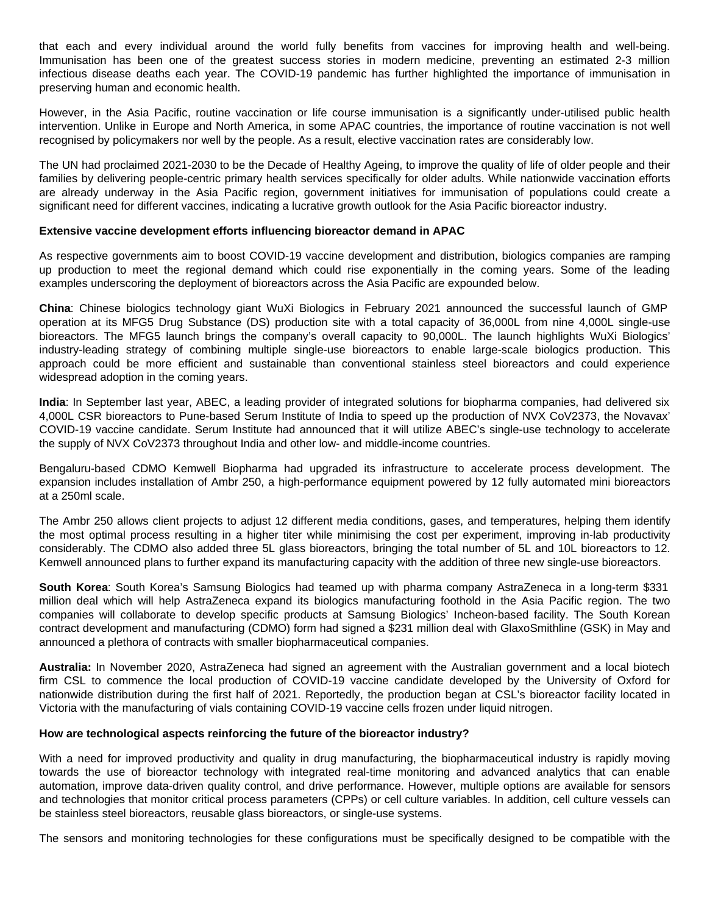that each and every individual around the world fully benefits from vaccines for improving health and well-being. Immunisation has been one of the greatest success stories in modern medicine, preventing an estimated 2-3 million infectious disease deaths each year. The COVID-19 pandemic has further highlighted the importance of immunisation in preserving human and economic health.

However, in the Asia Pacific, routine vaccination or life course immunisation is a significantly under-utilised public health intervention. Unlike in Europe and North America, in some APAC countries, the importance of routine vaccination is not well recognised by policymakers nor well by the people. As a result, elective vaccination rates are considerably low.

The UN had proclaimed 2021-2030 to be the Decade of Healthy Ageing, to improve the quality of life of older people and their families by delivering people-centric primary health services specifically for older adults. While nationwide vaccination efforts are already underway in the Asia Pacific region, government initiatives for immunisation of populations could create a significant need for different vaccines, indicating a lucrative growth outlook for the Asia Pacific bioreactor industry.

## **Extensive vaccine development efforts influencing bioreactor demand in APAC**

As respective governments aim to boost COVID-19 vaccine development and distribution, biologics companies are ramping up production to meet the regional demand which could rise exponentially in the coming years. Some of the leading examples underscoring the deployment of bioreactors across the Asia Pacific are expounded below.

**China**: Chinese biologics technology giant WuXi Biologics in February 2021 announced the successful launch of GMP operation at its MFG5 Drug Substance (DS) production site with a total capacity of 36,000L from nine 4,000L single-use bioreactors. The MFG5 launch brings the company's overall capacity to 90,000L. The launch highlights WuXi Biologics' industry-leading strategy of combining multiple single-use bioreactors to enable large-scale biologics production. This approach could be more efficient and sustainable than conventional stainless steel bioreactors and could experience widespread adoption in the coming years.

**India**: In September last year, ABEC, a leading provider of integrated solutions for biopharma companies, had delivered six 4,000L CSR bioreactors to Pune-based Serum Institute of India to speed up the production of NVX CoV2373, the Novavax' COVID-19 vaccine candidate. Serum Institute had announced that it will utilize ABEC's single-use technology to accelerate the supply of NVX CoV2373 throughout India and other low- and middle-income countries.

Bengaluru-based CDMO Kemwell Biopharma had upgraded its infrastructure to accelerate process development. The expansion includes installation of Ambr 250, a high-performance equipment powered by 12 fully automated mini bioreactors at a 250ml scale.

The Ambr 250 allows client projects to adjust 12 different media conditions, gases, and temperatures, helping them identify the most optimal process resulting in a higher titer while minimising the cost per experiment, improving in-lab productivity considerably. The CDMO also added three 5L glass bioreactors, bringing the total number of 5L and 10L bioreactors to 12. Kemwell announced plans to further expand its manufacturing capacity with the addition of three new single-use bioreactors.

**South Korea**: South Korea's Samsung Biologics had teamed up with pharma company AstraZeneca in a long-term \$331 million deal which will help AstraZeneca expand its biologics manufacturing foothold in the Asia Pacific region. The two companies will collaborate to develop specific products at Samsung Biologics' Incheon-based facility. The South Korean contract development and manufacturing (CDMO) form had signed a \$231 million deal with GlaxoSmithline (GSK) in May and announced a plethora of contracts with smaller biopharmaceutical companies.

**Australia:** In November 2020, AstraZeneca had signed an agreement with the Australian government and a local biotech firm CSL to commence the local production of COVID-19 vaccine candidate developed by the University of Oxford for nationwide distribution during the first half of 2021. Reportedly, the production began at CSL's bioreactor facility located in Victoria with the manufacturing of vials containing COVID-19 vaccine cells frozen under liquid nitrogen.

## **How are technological aspects reinforcing the future of the bioreactor industry?**

With a need for improved productivity and quality in drug manufacturing, the biopharmaceutical industry is rapidly moving towards the use of bioreactor technology with integrated real-time monitoring and advanced analytics that can enable automation, improve data-driven quality control, and drive performance. However, multiple options are available for sensors and technologies that monitor critical process parameters (CPPs) or cell culture variables. In addition, cell culture vessels can be stainless steel bioreactors, reusable glass bioreactors, or single-use systems.

The sensors and monitoring technologies for these configurations must be specifically designed to be compatible with the